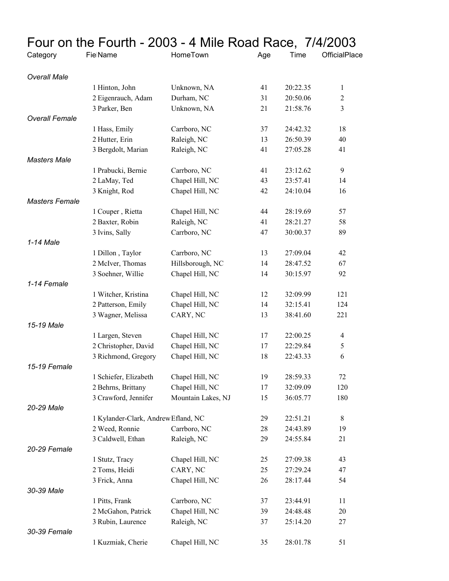|                       |                                     | Four on the Fourth - 2003 - 4 Mile Road Race, 7/4/2003 |     |          |                |  |
|-----------------------|-------------------------------------|--------------------------------------------------------|-----|----------|----------------|--|
| Category              | <b>FielName</b>                     | HomeTown                                               | Age | Time     | OfficialPlace  |  |
| <b>Overall Male</b>   |                                     |                                                        |     |          |                |  |
|                       | 1 Hinton, John                      | Unknown, NA                                            | 41  | 20:22.35 | $\mathbf{1}$   |  |
|                       | 2 Eigenrauch, Adam                  | Durham, NC                                             | 31  | 20:50.06 | $\mathfrak{2}$ |  |
|                       | 3 Parker, Ben                       | Unknown, NA                                            | 21  | 21:58.76 | 3              |  |
| <b>Overall Female</b> |                                     |                                                        |     |          |                |  |
|                       | 1 Hass, Emily                       | Carrboro, NC                                           | 37  | 24:42.32 | 18             |  |
|                       | 2 Hutter, Erin                      | Raleigh, NC                                            | 13  | 26:50.39 | 40             |  |
|                       | 3 Bergdolt, Marian                  | Raleigh, NC                                            | 41  | 27:05.28 | 41             |  |
| <b>Masters Male</b>   |                                     |                                                        |     |          |                |  |
|                       | 1 Prabucki, Bernie                  | Carrboro, NC                                           | 41  | 23:12.62 | 9              |  |
|                       | 2 LaMay, Ted                        | Chapel Hill, NC                                        | 43  | 23:57.41 | 14             |  |
|                       | 3 Knight, Rod                       | Chapel Hill, NC                                        | 42  | 24:10.04 | 16             |  |
| <b>Masters Female</b> |                                     |                                                        |     |          |                |  |
|                       | 1 Couper, Rietta                    | Chapel Hill, NC                                        | 44  | 28:19.69 | 57             |  |
|                       | 2 Baxter, Robin                     | Raleigh, NC                                            | 41  | 28:21.27 | 58             |  |
|                       | 3 Ivins, Sally                      | Carrboro, NC                                           | 47  | 30:00.37 | 89             |  |
| 1-14 Male             |                                     |                                                        |     |          |                |  |
|                       | 1 Dillon, Taylor                    | Carrboro, NC                                           | 13  | 27:09.04 | 42             |  |
|                       | 2 McIver, Thomas                    | Hillsborough, NC                                       | 14  | 28:47.52 | 67             |  |
|                       | 3 Soehner, Willie                   | Chapel Hill, NC                                        | 14  | 30:15.97 | 92             |  |
| 1-14 Female           |                                     |                                                        |     |          |                |  |
|                       | 1 Witcher, Kristina                 | Chapel Hill, NC                                        | 12  | 32:09.99 | 121            |  |
|                       | 2 Patterson, Emily                  | Chapel Hill, NC                                        | 14  | 32:15.41 | 124            |  |
|                       | 3 Wagner, Melissa                   | CARY, NC                                               | 13  | 38:41.60 | 221            |  |
| 15-19 Male            |                                     |                                                        |     |          |                |  |
|                       | 1 Largen, Steven                    | Chapel Hill, NC                                        | 17  | 22:00.25 | 4              |  |
|                       | 2 Christopher, David                | Chapel Hill, NC                                        | 17  | 22:29.84 | $\mathfrak s$  |  |
| 15-19 Female          | 3 Richmond, Gregory                 | Chapel Hill, NC                                        | 18  | 22:43.33 | 6              |  |
|                       | 1 Schiefer, Elizabeth               | Chapel Hill, NC                                        | 19  | 28:59.33 | 72             |  |
|                       | 2 Behrns, Brittany                  | Chapel Hill, NC                                        | 17  | 32:09.09 | 120            |  |
|                       | 3 Crawford, Jennifer                | Mountain Lakes, NJ                                     | 15  | 36:05.77 | 180            |  |
| 20-29 Male            |                                     |                                                        |     |          |                |  |
|                       | 1 Kylander-Clark, Andrew Efland, NC |                                                        | 29  | 22:51.21 | 8              |  |
|                       | 2 Weed, Ronnie                      | Carrboro, NC                                           | 28  | 24:43.89 | 19             |  |
|                       | 3 Caldwell, Ethan                   | Raleigh, NC                                            | 29  | 24:55.84 | 21             |  |
| 20-29 Female          |                                     |                                                        |     |          |                |  |
|                       | 1 Stutz, Tracy                      | Chapel Hill, NC                                        | 25  | 27:09.38 | 43             |  |
|                       | 2 Toms, Heidi                       | CARY, NC                                               | 25  | 27:29.24 | 47             |  |
|                       | 3 Frick, Anna                       | Chapel Hill, NC                                        | 26  | 28:17.44 | 54             |  |
| 30-39 Male            |                                     |                                                        |     |          |                |  |
|                       | 1 Pitts, Frank                      | Carrboro, NC                                           | 37  | 23:44.91 | 11             |  |
|                       | 2 McGahon, Patrick                  | Chapel Hill, NC                                        | 39  | 24:48.48 | 20             |  |
|                       | 3 Rubin, Laurence                   | Raleigh, NC                                            | 37  | 25:14.20 | 27             |  |
| 30-39 Female          |                                     |                                                        |     |          |                |  |
|                       | 1 Kuzmiak, Cherie                   | Chapel Hill, NC                                        | 35  | 28:01.78 | 51             |  |